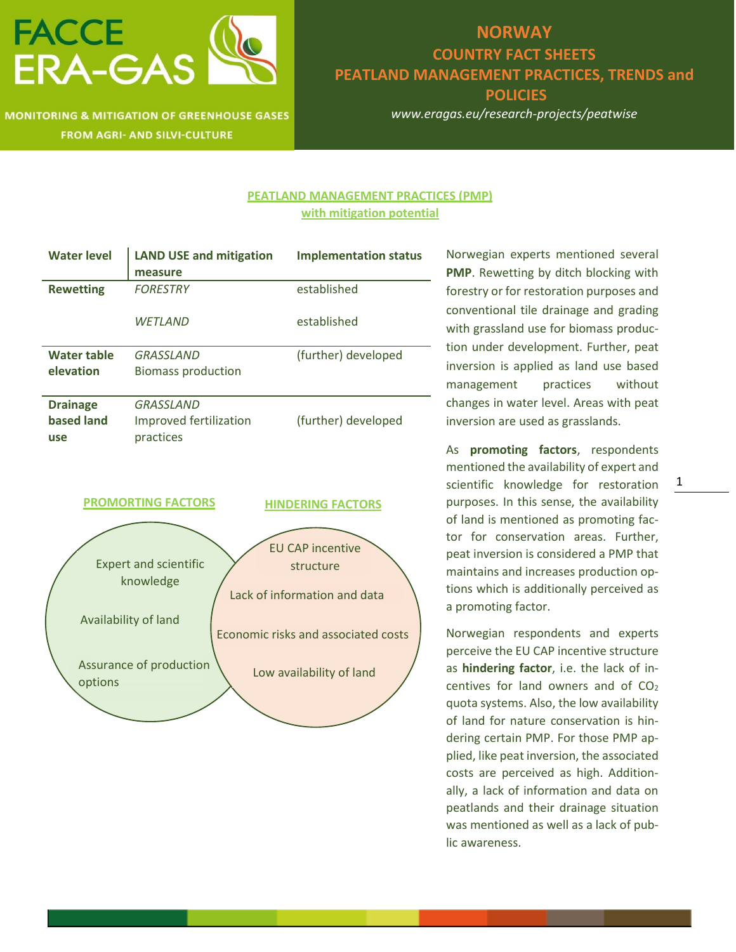

### **MONITORING & MITIGATION OF GREENHOUSE GASES FROM AGRI- AND SILVI-CULTURE**

## **NORWAY COUNTRY FACT SHEETS PEATLAND MANAGEMENT PRACTICES, TRENDS and POLICIES**

*www.eragas.eu/research-projects/peatwise*

### **PEATLAND MANAGEMENT PRACTICES (PMP) with mitigation potential**

| <b>Water level</b>        | <b>LAND USE and mitigation</b> | <b>Implementation status</b> |
|---------------------------|--------------------------------|------------------------------|
|                           | measure                        |                              |
| <b>Rewetting</b>          | <b>FORESTRY</b>                | established                  |
|                           |                                |                              |
|                           | <b>WETLAND</b>                 | established                  |
|                           |                                |                              |
| Water table               | <b>GRASSLAND</b>               | (further) developed          |
| elevation                 | <b>Biomass production</b>      |                              |
|                           |                                |                              |
| <b>Drainage</b>           | <b>GRASSLAND</b>               |                              |
| based land                | Improved fertilization         | (further) developed          |
| use                       | practices                      |                              |
|                           |                                |                              |
|                           |                                |                              |
|                           |                                |                              |
| <b>PROMORTING FACTORS</b> |                                | <b>HINDERING FACTORS</b>     |
|                           |                                |                              |
|                           |                                |                              |
|                           |                                | <b>EU CAP incentive</b>      |

|                                    | <b>EU CAP incentive</b>             |
|------------------------------------|-------------------------------------|
| <b>Expert and scientific</b>       | structure                           |
| knowledge                          | Lack of information and data        |
| Availability of land               | Economic risks and associated costs |
| Assurance of production<br>options | Low availability of land            |
|                                    |                                     |

Norwegian experts mentioned several **PMP**. Rewetting by ditch blocking with forestry or for restoration purposes and conventional tile drainage and grading with grassland use for biomass production under development. Further, peat inversion is applied as land use based management practices without changes in water level. Areas with peat inversion are used as grasslands.

As **promoting factors**, respondents mentioned the availability of expert and scientific knowledge for restoration purposes. In this sense, the availability of land is mentioned as promoting factor for conservation areas. Further, peat inversion is considered a PMP that maintains and increases production options which is additionally perceived as a promoting factor.

Norwegian respondents and experts perceive the EU CAP incentive structure as **hindering factor**, i.e. the lack of incentives for land owners and of  $CO<sub>2</sub>$ quota systems. Also, the low availability of land for nature conservation is hindering certain PMP. For those PMP applied, like peat inversion, the associated costs are perceived as high. Additionally, a lack of information and data on peatlands and their drainage situation was mentioned as well as a lack of public awareness.

1